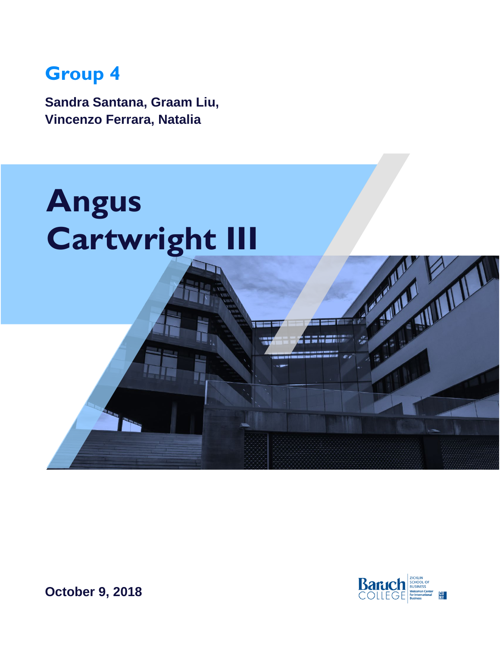# **Group 4**

**Sandra Santana, Graam Liu, Vincenzo Ferrara, Natalia** 





**October 9, 2018**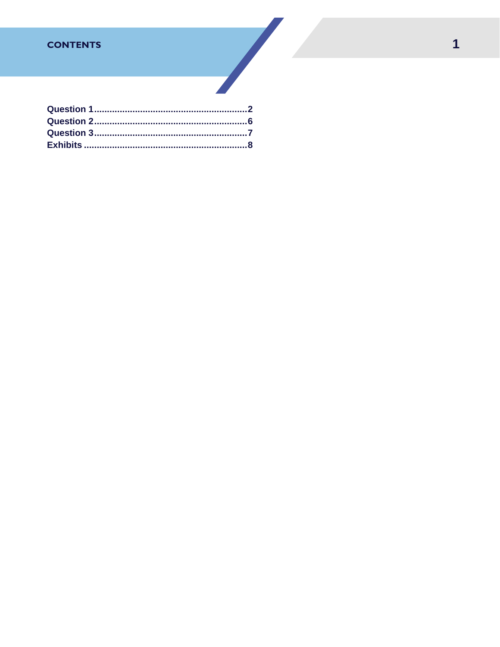# **CONTENTS**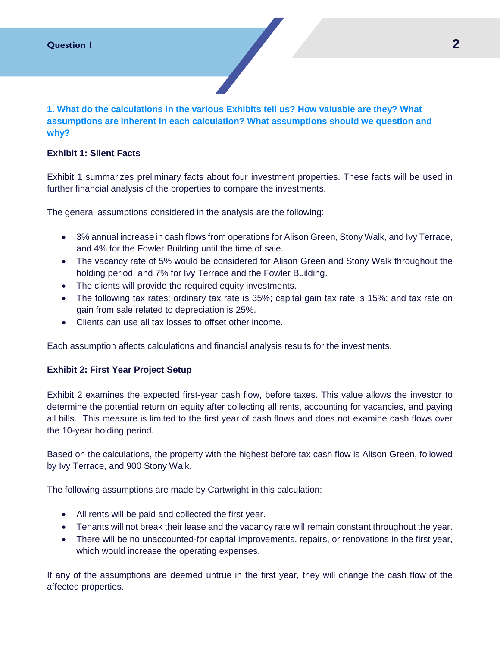<span id="page-2-0"></span>**1. What do the calculations in the various Exhibits tell us? How valuable are they? What assumptions are inherent in each calculation? What assumptions should we question and why?**

#### **Exhibit 1: Silent Facts**

Exhibit 1 summarizes preliminary facts about four investment properties. These facts will be used in further financial analysis of the properties to compare the investments.

The general assumptions considered in the analysis are the following:

- 3% annual increase in cash flows from operations for Alison Green, Stony Walk, and Ivy Terrace, and 4% for the Fowler Building until the time of sale.
- The vacancy rate of 5% would be considered for Alison Green and Stony Walk throughout the holding period, and 7% for Ivy Terrace and the Fowler Building.
- The clients will provide the required equity investments.
- The following tax rates: ordinary tax rate is 35%; capital gain tax rate is 15%; and tax rate on gain from sale related to depreciation is 25%.
- Clients can use all tax losses to offset other income.

Each assumption affects calculations and financial analysis results for the investments.

#### **Exhibit 2: First Year Project Setup**

Exhibit 2 examines the expected first-year cash flow, before taxes. This value allows the investor to determine the potential return on equity after collecting all rents, accounting for vacancies, and paying all bills. This measure is limited to the first year of cash flows and does not examine cash flows over the 10-year holding period.

Based on the calculations, the property with the highest before tax cash flow is Alison Green, followed by Ivy Terrace, and 900 Stony Walk.

The following assumptions are made by Cartwright in this calculation:

- All rents will be paid and collected the first year.
- Tenants will not break their lease and the vacancy rate will remain constant throughout the year.
- There will be no unaccounted-for capital improvements, repairs, or renovations in the first year, which would increase the operating expenses.

If any of the assumptions are deemed untrue in the first year, they will change the cash flow of the affected properties.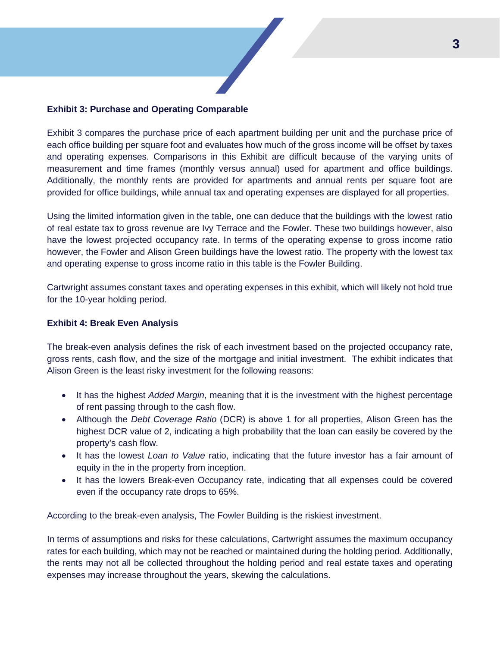

#### **Exhibit 3: Purchase and Operating Comparable**

Exhibit 3 compares the purchase price of each apartment building per unit and the purchase price of each office building per square foot and evaluates how much of the gross income will be offset by taxes and operating expenses. Comparisons in this Exhibit are difficult because of the varying units of measurement and time frames (monthly versus annual) used for apartment and office buildings. Additionally, the monthly rents are provided for apartments and annual rents per square foot are provided for office buildings, while annual tax and operating expenses are displayed for all properties.

Using the limited information given in the table, one can deduce that the buildings with the lowest ratio of real estate tax to gross revenue are Ivy Terrace and the Fowler. These two buildings however, also have the lowest projected occupancy rate. In terms of the operating expense to gross income ratio however, the Fowler and Alison Green buildings have the lowest ratio. The property with the lowest tax and operating expense to gross income ratio in this table is the Fowler Building.

Cartwright assumes constant taxes and operating expenses in this exhibit, which will likely not hold true for the 10-year holding period.

### **Exhibit 4: Break Even Analysis**

The break-even analysis defines the risk of each investment based on the projected occupancy rate, gross rents, cash flow, and the size of the mortgage and initial investment. The exhibit indicates that Alison Green is the least risky investment for the following reasons:

- It has the highest *Added Margin*, meaning that it is the investment with the highest percentage of rent passing through to the cash flow.
- Although the *Debt Coverage Ratio* (DCR) is above 1 for all properties, Alison Green has the highest DCR value of 2, indicating a high probability that the loan can easily be covered by the property's cash flow.
- It has the lowest *Loan to Value* ratio, indicating that the future investor has a fair amount of equity in the in the property from inception.
- It has the lowers Break-even Occupancy rate, indicating that all expenses could be covered even if the occupancy rate drops to 65%.

According to the break-even analysis, The Fowler Building is the riskiest investment.

In terms of assumptions and risks for these calculations, Cartwright assumes the maximum occupancy rates for each building, which may not be reached or maintained during the holding period. Additionally, the rents may not all be collected throughout the holding period and real estate taxes and operating expenses may increase throughout the years, skewing the calculations.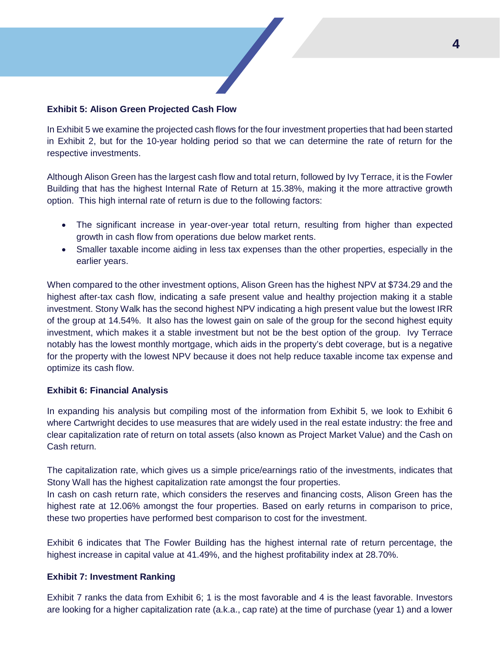

#### **Exhibit 5: Alison Green Projected Cash Flow**

In Exhibit 5 we examine the projected cash flows for the four investment properties that had been started in Exhibit 2, but for the 10-year holding period so that we can determine the rate of return for the respective investments.

Although Alison Green has the largest cash flow and total return, followed by Ivy Terrace, it is the Fowler Building that has the highest Internal Rate of Return at 15.38%, making it the more attractive growth option. This high internal rate of return is due to the following factors:

- The significant increase in year-over-year total return, resulting from higher than expected growth in cash flow from operations due below market rents.
- Smaller taxable income aiding in less tax expenses than the other properties, especially in the earlier years.

When compared to the other investment options, Alison Green has the highest NPV at \$734.29 and the highest after-tax cash flow, indicating a safe present value and healthy projection making it a stable investment. Stony Walk has the second highest NPV indicating a high present value but the lowest IRR of the group at 14.54%. It also has the lowest gain on sale of the group for the second highest equity investment, which makes it a stable investment but not be the best option of the group. Ivy Terrace notably has the lowest monthly mortgage, which aids in the property's debt coverage, but is a negative for the property with the lowest NPV because it does not help reduce taxable income tax expense and optimize its cash flow.

#### **Exhibit 6: Financial Analysis**

In expanding his analysis but compiling most of the information from Exhibit 5, we look to Exhibit 6 where Cartwright decides to use measures that are widely used in the real estate industry: the free and clear capitalization rate of return on total assets (also known as Project Market Value) and the Cash on Cash return.

The capitalization rate, which gives us a simple price/earnings ratio of the investments, indicates that Stony Wall has the highest capitalization rate amongst the four properties.

In cash on cash return rate, which considers the reserves and financing costs, Alison Green has the highest rate at 12.06% amongst the four properties. Based on early returns in comparison to price, these two properties have performed best comparison to cost for the investment.

Exhibit 6 indicates that The Fowler Building has the highest internal rate of return percentage, the highest increase in capital value at 41.49%, and the highest profitability index at 28.70%.

#### **Exhibit 7: Investment Ranking**

Exhibit 7 ranks the data from Exhibit 6; 1 is the most favorable and 4 is the least favorable. Investors are looking for a higher capitalization rate (a.k.a., cap rate) at the time of purchase (year 1) and a lower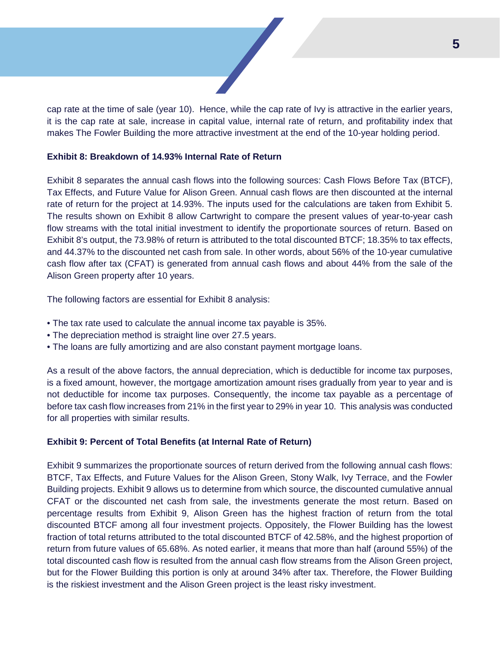cap rate at the time of sale (year 10). Hence, while the cap rate of Ivy is attractive in the earlier years, it is the cap rate at sale, increase in capital value, internal rate of return, and profitability index that makes The Fowler Building the more attractive investment at the end of the 10-year holding period.

#### **Exhibit 8: Breakdown of 14.93% Internal Rate of Return**

Exhibit 8 separates the annual cash flows into the following sources: Cash Flows Before Tax (BTCF), Tax Effects, and Future Value for Alison Green. Annual cash flows are then discounted at the internal rate of return for the project at 14.93%. The inputs used for the calculations are taken from Exhibit 5. The results shown on Exhibit 8 allow Cartwright to compare the present values of year-to-year cash flow streams with the total initial investment to identify the proportionate sources of return. Based on Exhibit 8's output, the 73.98% of return is attributed to the total discounted BTCF; 18.35% to tax effects, and 44.37% to the discounted net cash from sale. In other words, about 56% of the 10-year cumulative cash flow after tax (CFAT) is generated from annual cash flows and about 44% from the sale of the Alison Green property after 10 years.

The following factors are essential for Exhibit 8 analysis:

- The tax rate used to calculate the annual income tax payable is 35%.
- The depreciation method is straight line over 27.5 years.
- The loans are fully amortizing and are also constant payment mortgage loans.

As a result of the above factors, the annual depreciation, which is deductible for income tax purposes, is a fixed amount, however, the mortgage amortization amount rises gradually from year to year and is not deductible for income tax purposes. Consequently, the income tax payable as a percentage of before tax cash flow increases from 21% in the first year to 29% in year 10. This analysis was conducted for all properties with similar results.

#### **Exhibit 9: Percent of Total Benefits (at Internal Rate of Return)**

Exhibit 9 summarizes the proportionate sources of return derived from the following annual cash flows: BTCF, Tax Effects, and Future Values for the Alison Green, Stony Walk, Ivy Terrace, and the Fowler Building projects. Exhibit 9 allows us to determine from which source, the discounted cumulative annual CFAT or the discounted net cash from sale, the investments generate the most return. Based on percentage results from Exhibit 9, Alison Green has the highest fraction of return from the total discounted BTCF among all four investment projects. Oppositely, the Flower Building has the lowest fraction of total returns attributed to the total discounted BTCF of 42.58%, and the highest proportion of return from future values of 65.68%. As noted earlier, it means that more than half (around 55%) of the total discounted cash flow is resulted from the annual cash flow streams from the Alison Green project, but for the Flower Building this portion is only at around 34% after tax. Therefore, the Flower Building is the riskiest investment and the Alison Green project is the least risky investment.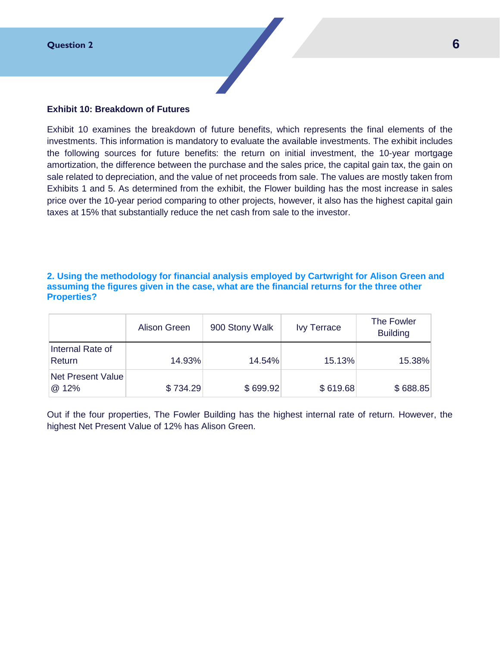

#### <span id="page-6-0"></span>**Exhibit 10: Breakdown of Futures**

Exhibit 10 examines the breakdown of future benefits, which represents the final elements of the investments. This information is mandatory to evaluate the available investments. The exhibit includes the following sources for future benefits: the return on initial investment, the 10-year mortgage amortization, the difference between the purchase and the sales price, the capital gain tax, the gain on sale related to depreciation, and the value of net proceeds from sale. The values are mostly taken from Exhibits 1 and 5. As determined from the exhibit, the Flower building has the most increase in sales price over the 10-year period comparing to other projects, however, it also has the highest capital gain taxes at 15% that substantially reduce the net cash from sale to the investor.

#### **2. Using the methodology for financial analysis employed by Cartwright for Alison Green and assuming the figures given in the case, what are the financial returns for the three other Properties?**

|                            | Alison Green | 900 Stony Walk | <b>Ivy Terrace</b> | The Fowler<br><b>Building</b> |
|----------------------------|--------------|----------------|--------------------|-------------------------------|
| Internal Rate of<br>Return | 14.93%       | 14.54%         | 15.13%             | 15.38%                        |
| Net Present Value<br>@ 12% | \$734.29     | \$699.92       | \$619.68           | \$688.85                      |

Out if the four properties, The Fowler Building has the highest internal rate of return. However, the highest Net Present Value of 12% has Alison Green.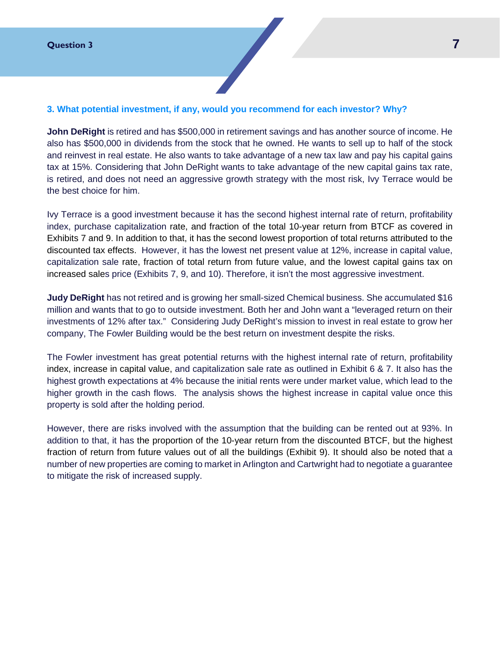## <span id="page-7-0"></span>**3. What potential investment, if any, would you recommend for each investor? Why?**

**John DeRight** is retired and has \$500,000 in retirement savings and has another source of income. He also has \$500,000 in dividends from the stock that he owned. He wants to sell up to half of the stock and reinvest in real estate. He also wants to take advantage of a new tax law and pay his capital gains tax at 15%. Considering that John DeRight wants to take advantage of the new capital gains tax rate, is retired, and does not need an aggressive growth strategy with the most risk, Ivy Terrace would be the best choice for him.

Ivy Terrace is a good investment because it has the second highest internal rate of return, profitability index, purchase capitalization rate, and fraction of the total 10-year return from BTCF as covered in Exhibits 7 and 9. In addition to that, it has the second lowest proportion of total returns attributed to the discounted tax effects. However, it has the lowest net present value at 12%, increase in capital value, capitalization sale rate, fraction of total return from future value, and the lowest capital gains tax on increased sales price (Exhibits 7, 9, and 10). Therefore, it isn't the most aggressive investment.

**Judy DeRight** has not retired and is growing her small-sized Chemical business. She accumulated \$16 million and wants that to go to outside investment. Both her and John want a "leveraged return on their investments of 12% after tax." Considering Judy DeRight's mission to invest in real estate to grow her company, The Fowler Building would be the best return on investment despite the risks.

The Fowler investment has great potential returns with the highest internal rate of return, profitability index, increase in capital value, and capitalization sale rate as outlined in Exhibit 6 & 7. It also has the highest growth expectations at 4% because the initial rents were under market value, which lead to the higher growth in the cash flows. The analysis shows the highest increase in capital value once this property is sold after the holding period.

However, there are risks involved with the assumption that the building can be rented out at 93%. In addition to that, it has the proportion of the 10-year return from the discounted BTCF, but the highest fraction of return from future values out of all the buildings (Exhibit 9). It should also be noted that a number of new properties are coming to market in Arlington and Cartwright had to negotiate a guarantee to mitigate the risk of increased supply.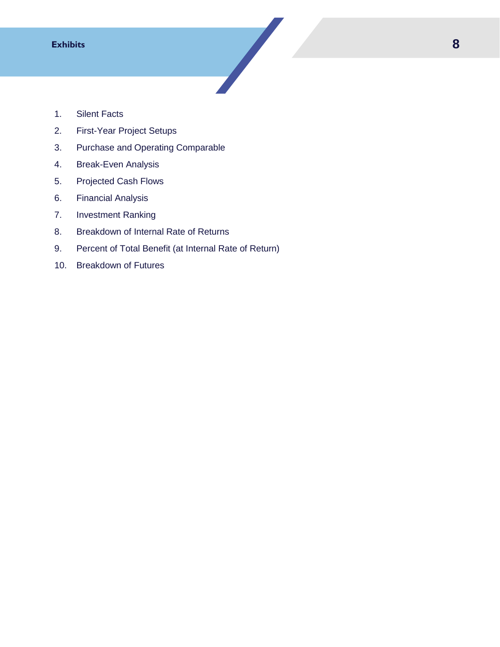- <span id="page-8-0"></span>1. Silent Facts
- 2. First-Year Project Setups
- 3. Purchase and Operating Comparable
- 4. Break-Even Analysis
- 5. Projected Cash Flows
- 6. Financial Analysis
- 7. Investment Ranking
- 8. Breakdown of Internal Rate of Returns
- 9. Percent of Total Benefit (at Internal Rate of Return)

10. Breakdown of Futures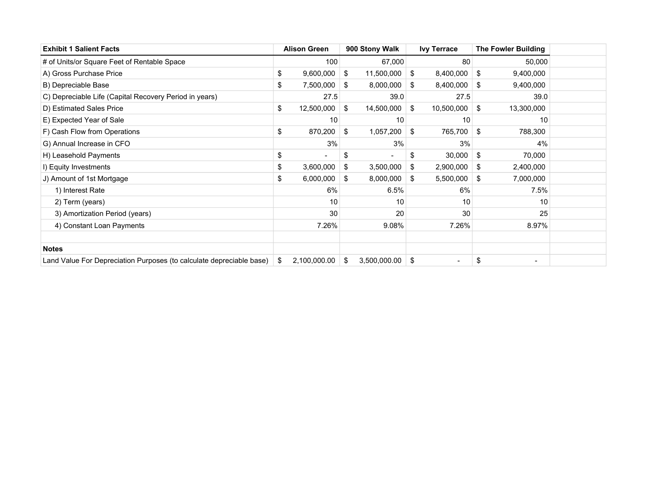| <b>Exhibit 1 Salient Facts</b>                                       | <b>Alison Green</b> | 900 Stony Walk     | <b>Ivy Terrace</b>             |     | <b>The Fowler Building</b>   |  |
|----------------------------------------------------------------------|---------------------|--------------------|--------------------------------|-----|------------------------------|--|
| # of Units/or Square Feet of Rentable Space                          | 100                 | 67,000             | 80                             |     | 50,000                       |  |
| A) Gross Purchase Price                                              | \$<br>9,600,000     | \$<br>11,500,000   | \$<br>8,400,000                | \$  | 9,400,000                    |  |
| B) Depreciable Base                                                  | \$<br>7,500,000     | \$<br>8,000,000    | \$<br>8,400,000                | -\$ | 9,400,000                    |  |
| C) Depreciable Life (Capital Recovery Period in years)               | 27.5                | 39.0               | 27.5                           |     | 39.0                         |  |
| D) Estimated Sales Price                                             | \$<br>12,500,000    | \$<br>14,500,000   | \$<br>10,500,000               | \$  | 13,300,000                   |  |
| E) Expected Year of Sale                                             | 10                  | 10                 | 10                             |     | 10                           |  |
| F) Cash Flow from Operations                                         | \$<br>870,200       | \$<br>1,057,200    | \$<br>765,700                  | \$  | 788,300                      |  |
| G) Annual Increase in CFO                                            | 3%                  | 3%                 | 3%                             |     | 4%                           |  |
| H) Leasehold Payments                                                | \$                  | \$                 | \$<br>30,000                   | \$  | 70,000                       |  |
| I) Equity Investments                                                | \$<br>3,600,000     | \$<br>3,500,000    | \$<br>2,900,000                | \$  | 2,400,000                    |  |
| J) Amount of 1st Mortgage                                            | \$<br>6,000,000     | \$<br>8,000,000    | \$<br>5,500,000                | \$  | 7,000,000                    |  |
| 1) Interest Rate                                                     | 6%                  | 6.5%               | 6%                             |     | 7.5%                         |  |
| 2) Term (years)                                                      | 10                  | 10                 | 10                             |     | 10                           |  |
| 3) Amortization Period (years)                                       | 30                  | 20                 | 30                             |     | 25                           |  |
| 4) Constant Loan Payments                                            | 7.26%               | 9.08%              | 7.26%                          |     | 8.97%                        |  |
|                                                                      |                     |                    |                                |     |                              |  |
| <b>Notes</b>                                                         |                     |                    |                                |     |                              |  |
| Land Value For Depreciation Purposes (to calculate depreciable base) | \$<br>2,100,000.00  | \$<br>3,500,000.00 | \$<br>$\overline{\phantom{a}}$ | \$  | $\qquad \qquad \blacksquare$ |  |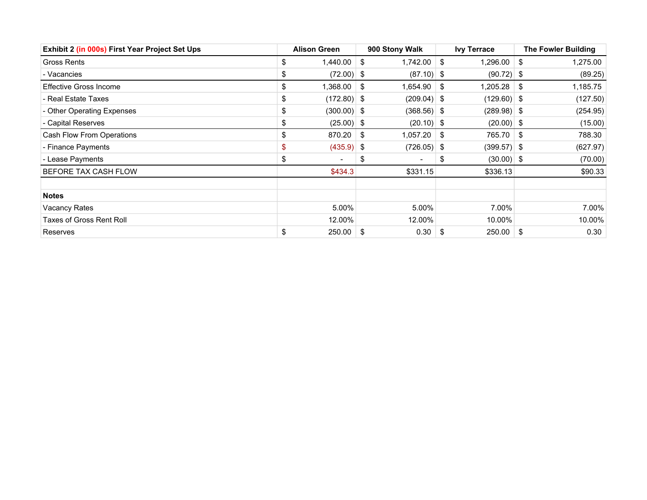| Exhibit 2 (in 000s) First Year Project Set Ups | <b>Alison Green</b>            |     | 900 Stony Walk           |     | <b>Ivy Terrace</b> |      | <b>The Fowler Building</b> |
|------------------------------------------------|--------------------------------|-----|--------------------------|-----|--------------------|------|----------------------------|
| Gross Rents                                    | \$<br>1,440.00                 | \$  | 1,742.00                 | \$  | 1,296.00           | \$   | 1,275.00                   |
| - Vacancies                                    | \$<br>$(72.00)$ \$             |     | $(87.10)$ \$             |     | $(90.72)$ \$       |      | (89.25)                    |
| <b>Effective Gross Income</b>                  | \$<br>1,368.00                 | -\$ | 1,654.90                 | -\$ | 1,205.28           | - \$ | 1,185.75                   |
| - Real Estate Taxes                            | \$<br>$(172.80)$ \$            |     | $(209.04)$ \$            |     | $(129.60)$ \$      |      | (127.50)                   |
| - Other Operating Expenses                     | \$<br>$(300.00)$ \$            |     | $(368.56)$ \$            |     | $(289.98)$ \$      |      | (254.95)                   |
| - Capital Reserves                             | \$<br>$(25.00)$ \$             |     | $(20.10)$ \$             |     | $(20.00)$ \$       |      | (15.00)                    |
| Cash Flow From Operations                      | \$<br>870.20                   | -\$ | 1,057.20                 | \$  | 765.70             | \$   | 788.30                     |
| - Finance Payments                             | \$<br>$(435.9)$ \$             |     | $(726.05)$ \$            |     | $(399.57)$ \$      |      | (627.97)                   |
| - Lease Payments                               | \$<br>$\overline{\phantom{a}}$ | \$  | $\overline{\phantom{a}}$ | \$  | $(30.00)$ \$       |      | (70.00)                    |
| BEFORE TAX CASH FLOW                           | \$434.3                        |     | \$331.15                 |     | \$336.13           |      | \$90.33                    |
| <b>Notes</b>                                   |                                |     |                          |     |                    |      |                            |
| Vacancy Rates                                  | 5.00%                          |     | 5.00%                    |     | 7.00%              |      | 7.00%                      |
| <b>Taxes of Gross Rent Roll</b>                | 12.00%                         |     | 12.00%                   |     | 10.00%             |      | 10.00%                     |
| Reserves                                       | \$<br>250.00                   | -\$ | 0.30                     | \$  | 250.00             | \$   | 0.30                       |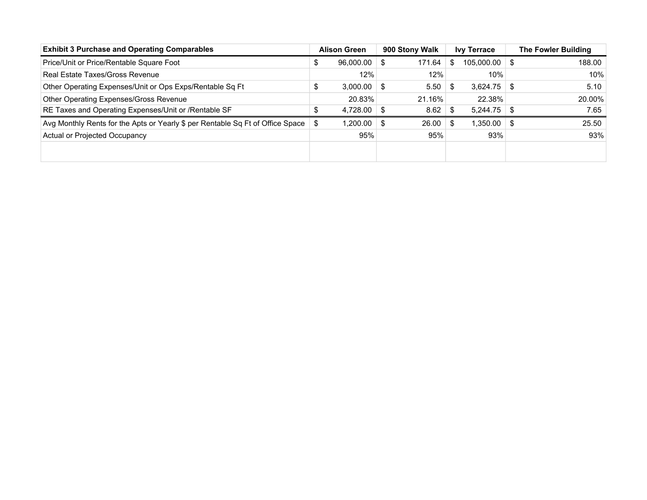| <b>Exhibit 3 Purchase and Operating Comparables</b>                            |     | <b>Alison Green</b> |      | 900 Stony Walk |      | <b>Ivy Terrace</b> |      | <b>The Fowler Building</b> |
|--------------------------------------------------------------------------------|-----|---------------------|------|----------------|------|--------------------|------|----------------------------|
| Price/Unit or Price/Rentable Square Foot                                       | Φ   | 96,000.00           | \$   | 171.64         | S    | 105,000.00         | - \$ | 188.00                     |
| Real Estate Taxes/Gross Revenue                                                |     | 12%                 |      | 12%            |      | 10%                |      | 10%                        |
| Other Operating Expenses/Unit or Ops Exps/Rentable Sq Ft                       | Φ   | 3,000.00            | - \$ | 5.50           | - \$ | 3,624.75           | - \$ | 5.10                       |
| Other Operating Expenses/Gross Revenue                                         |     | 20.83%              |      | 21.16%         |      | 22.38%             |      | 20.00%                     |
| RE Taxes and Operating Expenses/Unit or /Rentable SF                           | S   | 4,728.00            | \$   | 8.62           |      | 5.244.75           | - \$ | 7.65                       |
| Avg Monthly Rents for the Apts or Yearly \$ per Rentable Sq Ft of Office Space | -\$ | 1,200.00            | \$   | 26.00          | - \$ | $1,350.00$ \ \$    |      | 25.50                      |
| Actual or Projected Occupancy                                                  |     | 95%                 |      | 95%            |      | 93%                |      | 93%                        |
|                                                                                |     |                     |      |                |      |                    |      |                            |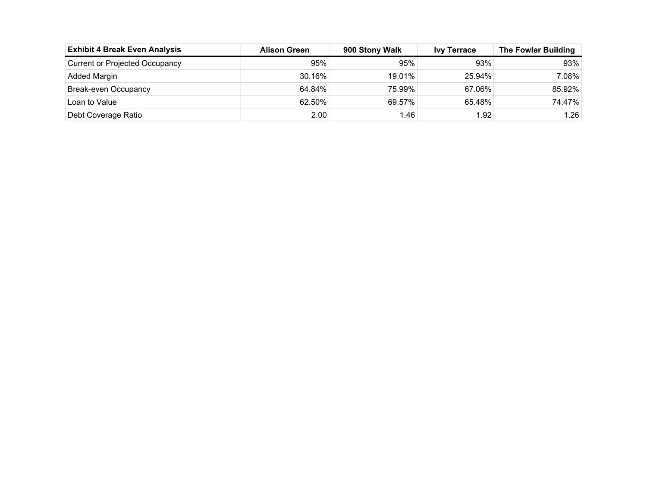| <b>Exhibit 4 Break Even Analysis</b>  | <b>Alison Green</b> | 900 Stony Walk | <b>Ivy Terrace</b> | <b>The Fowler Building</b> |
|---------------------------------------|---------------------|----------------|--------------------|----------------------------|
| <b>Current or Projected Occupancy</b> | 95%                 | 95%            | 93%                | 93%                        |
| Added Margin                          | 30.16%              | 19.01%         | 25.94%             | 7.08%                      |
| Break-even Occupancy                  | 64.84%              | 75.99%         | 67.06%             | 85.92%                     |
| Loan to Value                         | 62.50%              | 69.57%         | $65.48\%$          | 74.47%                     |
| Debt Coverage Ratio                   | 2.00                | l.46           | 1.92               | 1.26                       |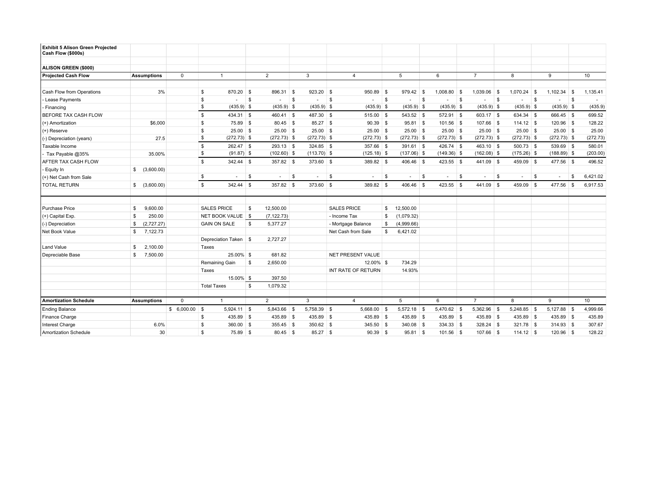| <b>Exhibit 5 Alison Green Projected</b><br>Cash Flow (\$000s) |                           |              |                             |                                |      |               |                        |              |               |          |               |      |                |     |               |      |               |     |          |
|---------------------------------------------------------------|---------------------------|--------------|-----------------------------|--------------------------------|------|---------------|------------------------|--------------|---------------|----------|---------------|------|----------------|-----|---------------|------|---------------|-----|----------|
| ALISON GREEN (\$000)                                          |                           |              |                             |                                |      |               |                        |              |               |          |               |      |                |     |               |      |               |     |          |
| <b>Projected Cash Flow</b>                                    | <b>Assumptions</b>        | $\mathbf 0$  | $\overline{1}$              | $\overline{2}$                 |      | 3             | $\overline{4}$         |              | 5             |          | 6             |      | $\overline{7}$ |     | 8             |      | 9             |     | 10       |
|                                                               |                           |              |                             |                                |      |               |                        |              |               |          |               |      |                |     |               |      |               |     |          |
| Cash Flow from Operations                                     | 3%                        |              | 870.20 \$<br>\$             | 896.31                         | - \$ | 923.20        | 950.89 \$<br>∣\$       |              | 979.42        | <b>S</b> | $1.008.80$ \$ |      | 1.039.06       | ∣\$ | 1.070.24      | - \$ | 1,102.34      | -S  | 1,135.41 |
| - Lease Payments                                              |                           |              | \$<br>÷,                    | \$<br>$\overline{\phantom{a}}$ | S    | $\sim$        | S.<br>٠                | $\mathbb{S}$ | $\sim$        | S.       |               | \$   | $\sim$         | S   | $\sim$        | \$   | $\sim$        | S   | $\sim$   |
| - Financing                                                   |                           |              | \$<br>$(435.9)$ \$          | $(435.9)$ \$                   |      | $(435.9)$ \$  | $(435.9)$ \$           |              | $(435.9)$ \$  |          | $(435.9)$ \$  |      | $(435.9)$ \$   |     | $(435.9)$ \$  |      | $(435.9)$ \$  |     | (435.9)  |
| BEFORE TAX CASH FLOW                                          |                           |              | \$<br>434.31 \$             | $460.41$ \$                    |      | 487.30 \$     | $515.00$ \$            |              | 543.52 \$     |          | 572.91 \$     |      | $603.17$ \$    |     | 634.34 \$     |      | 666.45 \$     |     | 699.52   |
| (+) Amortization                                              | \$6,000                   |              | S.<br>75.89 \$              | 80.45 \$                       |      | 85.27 \$      | $90.39$ \$             |              | $95.81$ \$    |          | 101.56 \$     |      | 107.66 \$      |     | $114.12$ \$   |      | $120.96$ \$   |     | 128.22   |
| (+) Reserve                                                   |                           |              | \$<br>$25.00$ \$            | $25.00$ \$                     |      | $25.00$ \$    | $25.00$ \$             |              | $25.00$ \$    |          | $25.00$ \$    |      | $25.00$ \$     |     | $25.00$ \$    |      | $25.00$ \$    |     | 25.00    |
| (-) Depreciation (years)                                      | 27.5                      |              | \$<br>$(272.73)$ \$         | $(272.73)$ \$                  |      | $(272.73)$ \$ | $(272.73)$ \$          |              | $(272.73)$ \$ |          | $(272.73)$ \$ |      | $(272.73)$ \$  |     | $(272.73)$ \$ |      | $(272.73)$ \$ |     | (272.73) |
| Taxable Income                                                |                           |              | \$<br>262.47 \$             | $293.13$ \$                    |      | 324.85 \$     | 357.66 \$              |              | $391.61$ \$   |          | 426.74 \$     |      | $463.10$ \$    |     | $500.73$ \$   |      | 539.69 \$     |     | 580.01   |
| - Tax Payable @35%                                            | 35.00%                    |              | \$<br>$(91.87)$ \$          | $(102.60)$ \$                  |      | $(113.70)$ \$ | $(125.18)$ \$          |              | $(137.06)$ \$ |          | $(149.36)$ \$ |      | $(162.08)$ \$  |     | $(175.26)$ \$ |      | $(188.89)$ \$ |     | (203.00) |
| AFTER TAX CASH FLOW                                           |                           |              | \$<br>342.44 \$             | 357.82 \$                      |      | 373.60 \$     | 389.82 \$              |              | 406.46 \$     |          | 423.55 \$     |      | 441.09 \$      |     | 459.09 \$     |      | 477.56 \$     |     | 496.52   |
| Equity In                                                     | \$ (3,600.00)             |              |                             |                                |      |               |                        |              |               |          |               |      |                |     |               |      |               |     |          |
| (+) Net Cash from Sale                                        |                           |              | \$<br>$\sim$                | \$<br>$\sim$                   | \$   | $\sim$        | $\mathbb{S}$<br>$\sim$ | \$           | $\sim$        | \$       | $\sim$        | - \$ | $\sim$         | \$  | $\sim$        | \$   | $\sim$        | S   | 6,421.02 |
| <b>TOTAL RETURN</b>                                           | \$ (3,600.00)             |              | \$<br>342.44 \$             | 357.82 \$                      |      | 373.60 \$     | 389.82 \$              |              | 406.46 \$     |          | $423.55$ \$   |      | 441.09 \$      |     | 459.09 \$     |      | 477.56        | ∣\$ | 6,917.53 |
|                                                               |                           |              |                             |                                |      |               |                        |              |               |          |               |      |                |     |               |      |               |     |          |
| <b>Purchase Price</b>                                         | 9,600.00<br>\$            |              | <b>SALES PRICE</b>          | 12,500.00<br>\$                |      |               | <b>SALES PRICE</b>     | \$           | 12,500.00     |          |               |      |                |     |               |      |               |     |          |
| $(+)$ Capital Exp.                                            | 250.00<br>\$              |              | NET BOOK VALUE   \$         | (7, 122.73)                    |      |               | - Income Tax           | \$           | (1,079.32)    |          |               |      |                |     |               |      |               |     |          |
| (-) Depreciation                                              | (2,727.27)<br>\$          |              | <b>GAIN ON SALE</b>         | \$<br>5,377.27                 |      |               | - Mortgage Balance     | \$           | (4,999.66)    |          |               |      |                |     |               |      |               |     |          |
| Net Book Value                                                | 7,122.73<br>\$            |              |                             |                                |      |               | Net Cash from Sale     | \$           | 6,421.02      |          |               |      |                |     |               |      |               |     |          |
|                                                               |                           |              | Depreciation Taken \$       | 2,727.27                       |      |               |                        |              |               |          |               |      |                |     |               |      |               |     |          |
| Land Value                                                    | 2,100.00<br>\$            |              | Taxes                       |                                |      |               |                        |              |               |          |               |      |                |     |               |      |               |     |          |
| Depreciable Base                                              | 7,500.00<br>$\mathfrak s$ |              | 25.00% \$                   | 681.82                         |      |               | NET PRESENT VALUE      |              |               |          |               |      |                |     |               |      |               |     |          |
|                                                               |                           |              | Remaining Gain              | 2,650.00<br>\$                 |      |               | 12.00% \$              |              | 734.29        |          |               |      |                |     |               |      |               |     |          |
|                                                               |                           |              | Taxes                       |                                |      |               | INT RATE OF RETURN     |              | 14.93%        |          |               |      |                |     |               |      |               |     |          |
|                                                               |                           |              | 15.00% \$                   | 397.50                         |      |               |                        |              |               |          |               |      |                |     |               |      |               |     |          |
|                                                               |                           |              | <b>Total Taxes</b>          | \$<br>1,079.32                 |      |               |                        |              |               |          |               |      |                |     |               |      |               |     |          |
|                                                               |                           |              |                             |                                |      |               |                        |              |               |          |               |      |                |     |               |      |               |     |          |
| <b>Amortization Schedule</b>                                  | <b>Assumptions</b>        | $\mathbf{0}$ | $\overline{1}$              | 2                              |      | 3             | $\overline{4}$         |              | 5             |          | 6             |      | $\overline{7}$ |     | 8             |      | 9             |     | 10       |
| <b>Ending Balance</b>                                         |                           | \$6,000.00   | $\sqrt{3}$<br>$5,924.11$ \$ | 5,843.66 \$                    |      | 5,758.39 \$   | $5,668.00$ \$          |              | $5,572.18$ \$ |          | 5,470.62 \$   |      | 5,362.96 \$    |     | $5,248.85$ \$ |      | 5,127.88 \$   |     | 4,999.66 |
| Finance Charge                                                |                           |              | 435.89 \$<br>\$             | 435.89 \$                      |      | 435.89 \$     | 435.89 \$              |              | 435.89 \$     |          | 435.89 \$     |      | $435.89$ \$    |     | 435.89 \$     |      | 435.89 \$     |     | 435.89   |
| Interest Charge                                               | 6.0%                      |              | \$<br>$360.00$ \$           | 355.45 \$                      |      | $350.62$ \$   | $345.50$ \$            |              | 340.08 \$     |          | $334.33$ \$   |      | $328.24$ \$    |     | 321.78 \$     |      | $314.93$ \$   |     | 307.67   |
| Amortization Schedule                                         | 30                        |              | \$<br>75.89 \$              | $80.45$ \$                     |      | 85.27 \$      | $90.39$ \$             |              | $95.81$ \$    |          | $101.56$ \$   |      | $107.66$ \$    |     | $114.12$ \$   |      | $120.96$ \$   |     | 128.22   |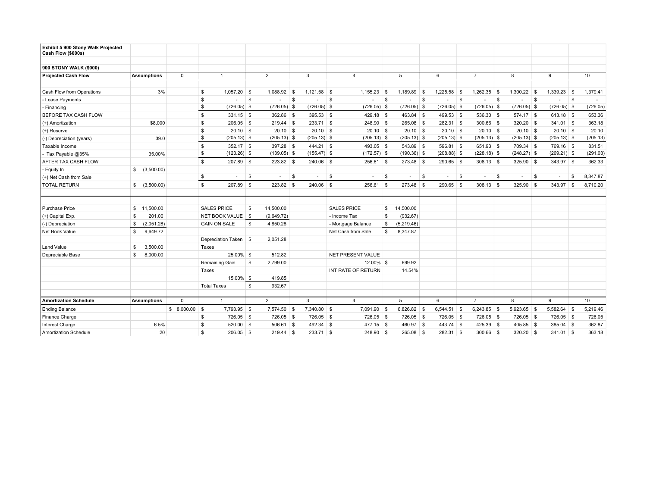| Exhibit 5 900 Stony Walk Projected<br>Cash Flow (\$000s) |                           |              |                           |                 |      |               |                        |              |               |     |               |     |                |     |               |     |               |              |          |
|----------------------------------------------------------|---------------------------|--------------|---------------------------|-----------------|------|---------------|------------------------|--------------|---------------|-----|---------------|-----|----------------|-----|---------------|-----|---------------|--------------|----------|
| 900 STONY WALK (\$000)                                   |                           |              |                           |                 |      |               |                        |              |               |     |               |     |                |     |               |     |               |              |          |
| <b>Projected Cash Flow</b>                               | <b>Assumptions</b>        | $\mathbf 0$  |                           | $\overline{2}$  |      | 3             | $\overline{4}$         |              | 5             |     | 6             |     | $\overline{7}$ |     | 8             |     | 9             |              | 10       |
|                                                          |                           |              |                           |                 |      |               |                        |              |               |     |               |     |                |     |               |     |               |              |          |
| Cash Flow from Operations                                | 3%                        |              | $1,057.20$ \$<br>\$       | 1.088.92        | - \$ | $1,121.58$ \$ | 1.155.23               | - \$         | 1.189.89      | ∣\$ | 1.225.58      | ∣\$ | 1.262.35       | ∣\$ | 1,300.22      | ∣\$ | 1,339.23      | -S           | 1,379.41 |
| - Lease Payments                                         |                           |              | \$<br>÷,                  | \$<br>٠         | \$   | ٠             | S.<br>٠                | $\mathbb{S}$ | $\sim$        | S.  |               | S.  | $\sim$         | S   | $\sim$        | \$  | $\sim$        | $\mathsf{S}$ | $\sim$   |
| - Financing                                              |                           |              | \$<br>$(726.05)$ \$       | $(726.05)$ \$   |      | $(726.05)$ \$ | $(726.05)$ \$          |              | $(726.05)$ \$ |     | $(726.05)$ \$ |     | $(726.05)$ \$  |     | $(726.05)$ \$ |     | $(726.05)$ \$ |              | (726.05) |
| BEFORE TAX CASH FLOW                                     |                           |              | \$<br>$331.15$ \$         | 362.86 \$       |      | 395.53 \$     | 429.18 \$              |              | 463.84 \$     |     | 499.53 \$     |     | 536.30 \$      |     | 574.17 \$     |     | $613.18$ \$   |              | 653.36   |
| (+) Amortization                                         | \$8,000                   |              | S.<br>$206.05$ \$         | $219.44$ \$     |      | 233.71 \$     | 248.90 \$              |              | 265.08 \$     |     | $282.31$ \$   |     | $300.66$ \$    |     | $320.20$ \$   |     | $341.01$ \$   |              | 363.18   |
| (+) Reserve                                              |                           |              | \$<br>$20.10$ \$          | $20.10$ \$      |      | $20.10$ \$    | $20.10$ \$             |              | $20.10$ \$    |     | $20.10$ \$    |     | $20.10$ \$     |     | $20.10$ \$    |     | $20.10$ \$    |              | 20.10    |
| (-) Depreciation (years)                                 | 39.0                      |              | \$<br>$(205.13)$ \$       | $(205.13)$ \$   |      | $(205.13)$ \$ | $(205.13)$ \$          |              | $(205.13)$ \$ |     | $(205.13)$ \$ |     | $(205.13)$ \$  |     | $(205.13)$ \$ |     | $(205.13)$ \$ |              | (205.13) |
| Taxable Income                                           |                           |              | \$<br>352.17 \$           | 397.28 \$       |      | 444.21 \$     | 493.05 \$              |              | 543.89 \$     |     | 596.81 \$     |     | $651.93$ \$    |     | 709.34 \$     |     | 769.16 \$     |              | 831.51   |
| - Tax Payable @35%                                       | 35.00%                    |              | \$<br>$(123.26)$ \$       | $(139.05)$ \$   |      | $(155.47)$ \$ | $(172.57)$ \$          |              | $(190.36)$ \$ |     | $(208.88)$ \$ |     | $(228.18)$ \$  |     | $(248.27)$ \$ |     | $(269.21)$ \$ |              | (291.03) |
| AFTER TAX CASH FLOW                                      |                           |              | \$<br>207.89 \$           | 223.82 \$       |      | 240.06 \$     | $256.61$ \$            |              | 273.48 \$     |     | 290.65 \$     |     | $308.13$ \$    |     | 325.90 \$     |     | 343.97 \$     |              | 362.33   |
| Equity In                                                | \$ (3,500.00)             |              |                           |                 |      |               |                        |              |               |     |               |     |                |     |               |     |               |              |          |
| (+) Net Cash from Sale                                   |                           |              | \$<br>$\sim$              | \$<br>$\sim$    | \$   | $\sim$        | $\mathbb{S}$<br>$\sim$ | \$           | $\sim$        | \$  | $\sim$        | \$  | $\sim$         | \$  | $\sim$        | \$  |               | S            | 8,347.87 |
| <b>TOTAL RETURN</b>                                      | \$ (3,500.00)             |              | \$<br>207.89 \$           | 223.82 \$       |      | 240.06 \$     | $256.61$ \$            |              | 273.48 \$     |     | $290.65$ \$   |     | $308.13$ \$    |     | 325.90 \$     |     | 343.97 \$     |              | 8,710.20 |
|                                                          |                           |              |                           |                 |      |               |                        |              |               |     |               |     |                |     |               |     |               |              |          |
| <b>Purchase Price</b>                                    | \$11,500.00               |              | <b>SALES PRICE</b>        | 14,500.00<br>\$ |      |               | <b>SALES PRICE</b>     | - \$         | 14,500.00     |     |               |     |                |     |               |     |               |              |          |
| $(+)$ Capital Exp.                                       | 201.00<br>\$              |              | NET BOOK VALUE   \$       | (9,649.72)      |      |               | - Income Tax           | \$           | (932.67)      |     |               |     |                |     |               |     |               |              |          |
| (-) Depreciation                                         | (2,051.28)<br>\$          |              | <b>GAIN ON SALE</b>       | \$<br>4,850.28  |      |               | - Mortgage Balance     | \$           | (5,219.46)    |     |               |     |                |     |               |     |               |              |          |
| Net Book Value                                           | 9,649.72<br>\$            |              |                           |                 |      |               | Net Cash from Sale     | \$           | 8,347.87      |     |               |     |                |     |               |     |               |              |          |
|                                                          |                           |              | Depreciation Taken \$     | 2,051.28        |      |               |                        |              |               |     |               |     |                |     |               |     |               |              |          |
| Land Value                                               | 3,500.00<br>\$            |              | Taxes                     |                 |      |               |                        |              |               |     |               |     |                |     |               |     |               |              |          |
| Depreciable Base                                         | $\mathfrak s$<br>8,000.00 |              | 25.00% \$                 | 512.82          |      |               | NET PRESENT VALUE      |              |               |     |               |     |                |     |               |     |               |              |          |
|                                                          |                           |              | Remaining Gain            | 2,799.00<br>\$  |      |               | 12.00% \$              |              | 699.92        |     |               |     |                |     |               |     |               |              |          |
|                                                          |                           |              | Taxes                     |                 |      |               | INT RATE OF RETURN     |              | 14.54%        |     |               |     |                |     |               |     |               |              |          |
|                                                          |                           |              | 15.00% \$                 | 419.85          |      |               |                        |              |               |     |               |     |                |     |               |     |               |              |          |
|                                                          |                           |              | <b>Total Taxes</b>        | \$<br>932.67    |      |               |                        |              |               |     |               |     |                |     |               |     |               |              |          |
|                                                          |                           |              |                           |                 |      |               |                        |              |               |     |               |     |                |     |               |     |               |              |          |
| <b>Amortization Schedule</b>                             | <b>Assumptions</b>        | $\mathbf{0}$ | $\overline{1}$            | 2               |      | 3             | $\overline{4}$         |              | 5             |     | 6             |     | $\overline{7}$ |     | 8             |     | 9             |              | 10       |
| <b>Ending Balance</b>                                    |                           | \$8,000.00   | 7,793.95 \$<br>$\sqrt{3}$ | 7,574.50 \$     |      | 7,340.80 \$   | 7,091.90 \$            |              | $6,826.82$ \$ |     | $6,544.51$ \$ |     | $6,243.85$ \$  |     | $5,923.65$ \$ |     | 5,582.64 \$   |              | 5,219.46 |
| Finance Charge                                           |                           |              | 726.05 \$<br>\$           | 726.05 \$       |      | 726.05 \$     | 726.05 \$              |              | 726.05 \$     |     | 726.05 \$     |     | $726.05$ \$    |     | 726.05 \$     |     | 726.05 \$     |              | 726.05   |
| <b>Interest Charge</b>                                   | 6.5%                      |              | 520.00 \$<br>\$           | 506.61          | ∣\$  | 492.34 \$     | $477.15$ \$            |              | 460.97 \$     |     | $443.74$ \$   |     | 425.39 \$      |     | 405.85 \$     |     | 385.04 \$     |              | 362.87   |
| Amortization Schedule                                    | 20 <sup>°</sup>           |              | \$<br>$206.05$ \$         | $219.44$ \$     |      | $233.71$ \$   | 248.90 \$              |              | 265.08 \$     |     | $282.31$ \$   |     | $300.66$ \$    |     | $320.20$ \$   |     | $341.01$ \$   |              | 363.18   |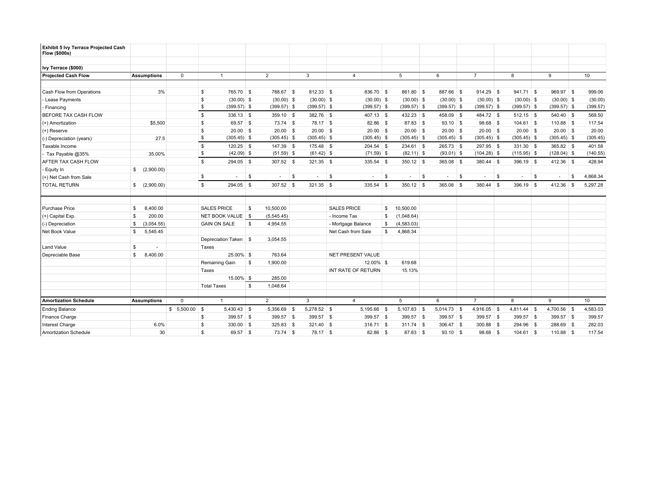| <b>Exhibit 5 Ivy Terrace Projected Cash</b><br><b>Flow (\$000s)</b> |                    |             |                       |                 |          |               |                        |      |               |               |          |                          |               |               |     |          |
|---------------------------------------------------------------------|--------------------|-------------|-----------------------|-----------------|----------|---------------|------------------------|------|---------------|---------------|----------|--------------------------|---------------|---------------|-----|----------|
|                                                                     |                    |             |                       |                 |          |               |                        |      |               |               |          |                          |               |               |     |          |
| Ivy Terrace (\$000)                                                 |                    |             |                       |                 |          |               |                        |      |               |               |          |                          |               |               |     |          |
| <b>Projected Cash Flow</b>                                          | <b>Assumptions</b> | $\mathbf 0$ | $\overline{1}$        | $\overline{2}$  |          | 3             | $\overline{4}$         |      | 5             | 6             |          | $\overline{7}$           | 8             | 9             |     | 10       |
|                                                                     |                    |             |                       |                 |          |               |                        |      |               |               |          |                          |               |               |     |          |
| Cash Flow from Operations                                           |                    | 3%          | \$<br>765.70 \$       | 788.67 \$       |          | 812.33 \$     | 836.70 \$              |      | 861.80 \$     | 887.66 \$     |          | $914.29$ \$              | $941.71$ \$   | $969.97$ \$   |     | 999.06   |
| - Lease Payments                                                    |                    |             | \$<br>$(30.00)$ \$    | $(30.00)$ \$    |          | $(30.00)$ \$  | $(30.00)$ \$           |      | $(30.00)$ \$  | $(30.00)$ \$  |          | $(30.00)$ \$             | $(30.00)$ \$  | $(30.00)$ \$  |     | (30.00)  |
| Financing                                                           |                    |             | \$<br>$(399.57)$ \$   | $(399.57)$ \$   |          | $(399.57)$ \$ | $(399.57)$ \$          |      | $(399.57)$ \$ | $(399.57)$ \$ |          | $(399.57)$ \$            | $(399.57)$ \$ | $(399.57)$ \$ |     | (399.57) |
| BEFORE TAX CASH FLOW                                                |                    |             | \$<br>$336.13$ \$     | $359.10$ \$     |          | 382.76 \$     | $407.13$ \$            |      | 432.23 \$     | 458.09 \$     |          | 484.72 \$                | $512.15$ \$   | 540.40 \$     |     | 569.50   |
| (+) Amortization                                                    | \$5,500            |             | \$<br>69.57 \$        | $73.74$ \$      |          | 78.17 \$      | 82.86 \$               |      | 87.83 \$      | $93.10$ \$    |          | $98.68$ \$               | $104.61$ \$   | $110.88$ \$   |     | 117.54   |
| (+) Reserve                                                         |                    |             | \$<br>$20.00$ \$      | $20.00$ \$      |          | $20.00$ \$    | $20.00$ \$             |      | $20.00$ \$    | $20.00$ \$    |          | $20.00$ \$               | $20.00$ \$    | $20.00$ \$    |     | 20.00    |
| (-) Depreciation (years)                                            |                    | 27.5        | \$<br>$(305.45)$ \$   | $(305.45)$ \$   |          | $(305.45)$ \$ | $(305.45)$ \$          |      | $(305.45)$ \$ | $(305.45)$ \$ |          | $(305.45)$ \$            | $(305.45)$ \$ | $(305.45)$ \$ |     | (305.45) |
| Taxable Income                                                      |                    |             | \$<br>$120.25$ \$     | $147.39$ \$     |          | $175.48$ \$   | $204.54$ \$            |      | $234.61$ \$   | $265.73$ \$   |          | $297.95$ \$              | $331.30$ \$   | $365.82$ \$   |     | 401.58   |
| Tax Payable @35%                                                    | 35.00%             |             | \$<br>$(42.09)$ \$    | $(51.59)$ \$    |          | $(61.42)$ \$  | $(71.59)$ \$           |      | $(82.11)$ \$  | $(93.01)$ \$  |          | $(104.28)$ \$            | $(115.95)$ \$ | $(128.04)$ \$ |     | (140.55) |
| AFTER TAX CASH FLOW                                                 |                    |             | \$<br>294.05 \$       | $307.52$ \$     |          | $321.35$ \$   | $335.54$ \$            |      | $350.12$ \$   | 365.08 \$     |          | $380.44$ \$              | $396.19$ \$   | 412.36 \$     |     | 428.94   |
| Equity In                                                           | (2,900.00)<br>\$   |             |                       |                 |          |               |                        |      |               |               |          |                          |               |               |     |          |
| (+) Net Cash from Sale                                              |                    |             | \$<br>$\sim$          | \$<br>$\sim$    | \$       | $\sim$        | $\mathbb{S}$<br>$\sim$ | \$   | $\sim$        | \$<br>$\sim$  | <b>S</b> | $\overline{\phantom{a}}$ | \$<br>$\sim$  | \$<br>٠       | -S  | 4,868.34 |
| <b>TOTAL RETURN</b>                                                 | \$ (2,900.00)      |             | \$<br>$294.05$ \$     | $307.52$ \$     |          | $321.35$ \$   | 335.54 \$              |      | $350.12$ \$   | $365.08$ \$   |          | $380.44$ \$              | $396.19$ \$   | 412.36        | ∣\$ | 5,297.28 |
|                                                                     |                    |             |                       |                 |          |               |                        |      |               |               |          |                          |               |               |     |          |
| <b>Purchase Price</b>                                               | 8,400.00<br>\$     |             | <b>SALES PRICE</b>    | 10,500.00<br>\$ |          |               | <b>SALES PRICE</b>     | - \$ | 10,500.00     |               |          |                          |               |               |     |          |
| (+) Capital Exp.                                                    | 200.00<br>\$       |             | NET BOOK VALUE   \$   | (5,545.45)      |          |               | - Income Tax           | \$   | (1,048.64)    |               |          |                          |               |               |     |          |
| (-) Depreciation                                                    | (3,054.55)<br>\$   |             | <b>GAIN ON SALE</b>   | \$<br>4,954.55  |          |               | - Mortgage Balance     | \$   | (4,583.03)    |               |          |                          |               |               |     |          |
| Net Book Value                                                      | 5,545.45<br>\$     |             |                       |                 |          |               | Net Cash from Sale     | \$   | 4,868.34      |               |          |                          |               |               |     |          |
|                                                                     |                    |             | Depreciation Taken \$ | 3,054.55        |          |               |                        |      |               |               |          |                          |               |               |     |          |
| Land Value                                                          | \$<br>$\sim$       |             | Taxes                 |                 |          |               |                        |      |               |               |          |                          |               |               |     |          |
| Depreciable Base                                                    | 8,400.00<br>\$     |             | 25.00% \$             | 763.64          |          |               | NET PRESENT VALUE      |      |               |               |          |                          |               |               |     |          |
|                                                                     |                    |             | Remaining Gain        | -S<br>1,900.00  |          |               | 12.00% \$              |      | 619.68        |               |          |                          |               |               |     |          |
|                                                                     |                    |             | Taxes                 |                 |          |               | INT RATE OF RETURN     |      | 15.13%        |               |          |                          |               |               |     |          |
|                                                                     |                    |             | 15.00% \$             | 285.00          |          |               |                        |      |               |               |          |                          |               |               |     |          |
|                                                                     |                    |             | <b>Total Taxes</b>    | \$<br>1,048.64  |          |               |                        |      |               |               |          |                          |               |               |     |          |
|                                                                     |                    |             |                       |                 |          |               |                        |      |               |               |          |                          |               |               |     |          |
| <b>Amortization Schedule</b>                                        | <b>Assumptions</b> | $\mathbf 0$ | $\mathbf{1}$          | $\overline{2}$  |          | 3             | $\overline{4}$         |      | 5             | 6             |          | $\overline{7}$           | 8             | 9             |     | 10       |
| <b>Ending Balance</b>                                               |                    | \$5,500.00  | $5,430.43$ \$<br>\$   | 5,356.69 \$     |          | 5,278.52 \$   | 5,195.66 \$            |      | $5,107.83$ \$ | $5,014.73$ \$ |          | $4,916.05$ \$            | $4,811.44$ \$ | 4,700.56 \$   |     | 4,583.03 |
| Finance Charge                                                      |                    |             | 399.57 \$<br>\$       | 399.57 \$       |          | 399.57 \$     | 399.57 \$              |      | 399.57 \$     | $399.57$ \$   |          | $399.57$ \$              | 399.57 \$     | 399.57 \$     |     | 399.57   |
| Interest Charge                                                     | 6.0%               |             | \$<br>330.00 \$       | 325.83          | <b>S</b> | $321.40$ \$   | $316.71$ \$            |      | $311.74$ \$   | $306.47$ \$   |          | $300.88$ \$              | 294.96 \$     | 288.69 \$     |     | 282.03   |
| Amortization Schedule                                               |                    | 30          | \$<br>69.57 \$        | $73.74$ \$      |          | $78.17$ \$    | $82.86$ \$             |      | $87.83$ \$    | $93.10$ \$    |          | $98.68$ \$               | $104.61$ \$   |               |     | 117.54   |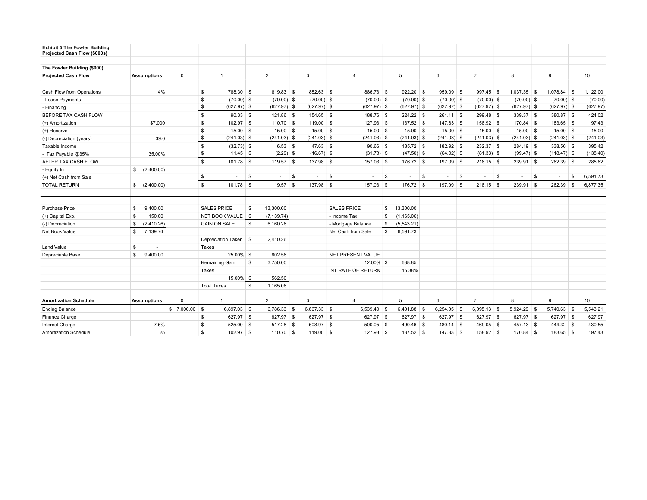| <b>Exhibit 5 The Fowler Building</b><br>Projected Cash Flow (\$000s) |                    |             |                             |                 |               |                        |                   |               |                |               |          |               |    |          |
|----------------------------------------------------------------------|--------------------|-------------|-----------------------------|-----------------|---------------|------------------------|-------------------|---------------|----------------|---------------|----------|---------------|----|----------|
| The Fowler Building (\$000)                                          |                    |             |                             |                 |               |                        |                   |               |                |               |          |               |    |          |
| <b>Projected Cash Flow</b>                                           | <b>Assumptions</b> | $\mathbf 0$ | $\mathbf{1}$                | $\overline{2}$  | 3             | $\overline{4}$         | 5                 | 6             | $\overline{7}$ | 8             |          | 9             |    | 10       |
|                                                                      |                    |             |                             |                 |               |                        |                   |               |                |               |          |               |    |          |
| Cash Flow from Operations                                            | 4%                 |             | 788.30 \$<br>\$             | 819.83 \$       | 852.63 \$     | 886.73 \$              | $922.20$ \$       | 959.09 \$     | 997.45 \$      | 1,037.35      | <b>S</b> | 1,078.84      | -S | 1,122.00 |
| - Lease Payments                                                     |                    |             | <b>S</b><br>$(70.00)$ \$    | $(70.00)$ \$    | $(70.00)$ \$  | $(70.00)$ \$           | $(70.00)$ \$      | $(70.00)$ \$  | $(70.00)$ \$   | $(70.00)$ \$  |          | $(70.00)$ \$  |    | (70.00)  |
| Financing                                                            |                    |             | \$<br>$(627.97)$ \$         | $(627.97)$ \$   | $(627.97)$ \$ | $(627.97)$ \$          | $(627.97)$ \$     | $(627.97)$ \$ | $(627.97)$ \$  | $(627.97)$ \$ |          | $(627.97)$ \$ |    | (627.97) |
| BEFORE TAX CASH FLOW                                                 |                    |             | $\mathfrak s$<br>$90.33$ \$ | $121.86$ \$     | 154.65 \$     | 188.76 \$              | $224.22$ \$       | $261.11$ \$   | 299.48 \$      | $339.37$ \$   |          | 380.87 \$     |    | 424.02   |
| (+) Amortization                                                     | \$7,000            |             | S.<br>$102.97$ \$           | $110.70$ \$     | $119.00$ \$   | $127.93$ \$            | 137.52 \$         | 147.83 \$     | 158.92 \$      | 170.84 \$     |          | $183.65$ \$   |    | 197.43   |
| $(+)$ Reserve                                                        |                    |             | \$<br>$15.00$ \$            | $15.00$ \$      | $15.00$ \$    | $15.00$ \$             | $15.00$ \$        | $15.00$ \$    | $15.00$ \$     | $15.00$ \$    |          | $15.00$ \$    |    | 15.00    |
| (-) Depreciation (years)                                             | 39.0               |             | \$<br>$(241.03)$ \$         | $(241.03)$ \$   | $(241.03)$ \$ | $(241.03)$ \$          | $(241.03)$ \$     | $(241.03)$ \$ | $(241.03)$ \$  | $(241.03)$ \$ |          | $(241.03)$ \$ |    | (241.03) |
| Taxable Income                                                       |                    |             | \$<br>$(32.73)$ \$          | $6.53$ \$       | $47.63$ \$    | $90.66$ \$             | 135.72 \$         | 182.92 \$     | $232.37$ \$    | 284.19 \$     |          | 338.50 \$     |    | 395.42   |
| Tax Payable @35%                                                     | 35.00%             |             | \$<br>$11.45$ \$            | $(2.29)$ \$     | $(16.67)$ \$  | $(31.73)$ \$           | $(47.50)$ \$      | $(64.02)$ \$  | $(81.33)$ \$   | $(99.47)$ \$  |          | $(118.47)$ \$ |    | (138.40) |
| AFTER TAX CASH FLOW                                                  |                    |             | \$<br>$101.78$ \$           | $119.57$ \$     | 137.98 \$     | 157.03 \$              | 176.72 \$         | 197.09 \$     | $218.15$ \$    | 239.91 \$     |          | 262.39 \$     |    | 285.62   |
| Equity In                                                            | \$ (2,400.00)      |             |                             |                 |               |                        |                   |               |                |               |          |               |    |          |
| (+) Net Cash from Sale                                               |                    |             | \$<br>$\sim$                | \$<br>$\sim$    | \$<br>$\sim$  | $\mathbb{S}$<br>$\sim$ | \$<br>$\sim$      | \$<br>$\sim$  | \$<br>$\sim$   | \$<br>$\sim$  | \$       | $\sim$        | S  | 6,591.73 |
| <b>TOTAL RETURN</b>                                                  | \$ (2,400.00)      |             | \$<br>$101.78$ \$           | $119.57$ \$     | 137.98 \$     | 157.03 \$              | 176.72 \$         | $197.09$ \$   | $218.15$ \$    | 239.91 \$     |          | 262.39 \$     |    | 6,877.35 |
|                                                                      |                    |             |                             |                 |               |                        |                   |               |                |               |          |               |    |          |
| Purchase Price                                                       | 9,400.00<br>\$     |             | <b>SALES PRICE</b>          | 13,300.00<br>\$ |               | <b>SALES PRICE</b>     | \$<br>13,300.00   |               |                |               |          |               |    |          |
| (+) Capital Exp.                                                     | 150.00<br>\$       |             | NET BOOK VALUE   \$         | (7, 139.74)     |               | - Income Tax           | \$<br>(1, 165.06) |               |                |               |          |               |    |          |
| (-) Depreciation                                                     | (2,410.26)<br>\$   |             | <b>GAIN ON SALE</b>         | \$<br>6,160.26  |               | - Mortgage Balance     | \$<br>(5,543.21)  |               |                |               |          |               |    |          |
| Net Book Value                                                       | 7,139.74<br>\$     |             |                             |                 |               | Net Cash from Sale     | \$<br>6,591.73    |               |                |               |          |               |    |          |
|                                                                      |                    |             | Depreciation Taken \$       | 2,410.26        |               |                        |                   |               |                |               |          |               |    |          |
| Land Value                                                           | \$<br>$\sim$       |             | Taxes                       |                 |               |                        |                   |               |                |               |          |               |    |          |
| Depreciable Base                                                     | 9,400.00<br>\$     |             | 25.00% \$                   | 602.56          |               | NET PRESENT VALUE      |                   |               |                |               |          |               |    |          |
|                                                                      |                    |             | Remaining Gain              | \$<br>3,750.00  |               | 12.00% \$              | 688.85            |               |                |               |          |               |    |          |
|                                                                      |                    |             | Taxes                       |                 |               | INT RATE OF RETURN     | 15.38%            |               |                |               |          |               |    |          |
|                                                                      |                    |             | 15.00% \$                   | 562.50          |               |                        |                   |               |                |               |          |               |    |          |
|                                                                      |                    |             | <b>Total Taxes</b>          | \$<br>1,165.06  |               |                        |                   |               |                |               |          |               |    |          |
|                                                                      |                    |             |                             |                 |               |                        |                   |               |                |               |          |               |    |          |
| <b>Amortization Schedule</b>                                         | <b>Assumptions</b> | $\mathbf 0$ | $\overline{1}$              | $\overline{2}$  | 3             | $\overline{4}$         | 5                 | 6             | $\overline{7}$ | 8             |          | 9             |    | 10       |
| <b>Ending Balance</b>                                                |                    | \$ 7,000.00 | 6,897.03 \$<br><b>S</b>     | 6,786.33 \$     | 6,667.33 \$   | 6,539.40 \$            | $6,401.88$ \$     | $6,254.05$ \$ | $6,095.13$ \$  | 5,924.29 \$   |          | 5,740.63 \$   |    | 5,543.21 |
| Finance Charge                                                       |                    |             | 627.97 \$<br>\$             | 627.97 \$       | 627.97 \$     | 627.97 \$              | 627.97 \$         | 627.97 \$     | 627.97 \$      | 627.97 \$     |          | 627.97 \$     |    | 627.97   |
| Interest Charge                                                      | 7.5%               |             | \$<br>525.00 \$             | 517.28 \$       | 508.97 \$     | $500.05$ \$            | 490.46 \$         | $480.14$ \$   | 469.05 \$      | $457.13$ \$   |          | 444.32 \$     |    | 430.55   |
| Amortization Schedule                                                | 25                 |             | \$<br>$102.97$ \$           | $110.70$ \$     | $119.00$ \$   | 127.93 \$              | $137.52$ \$       | $147.83$ \$   | $158.92$ \$    | $170.84$ \$   |          | $183.65$ \$   |    | 197.43   |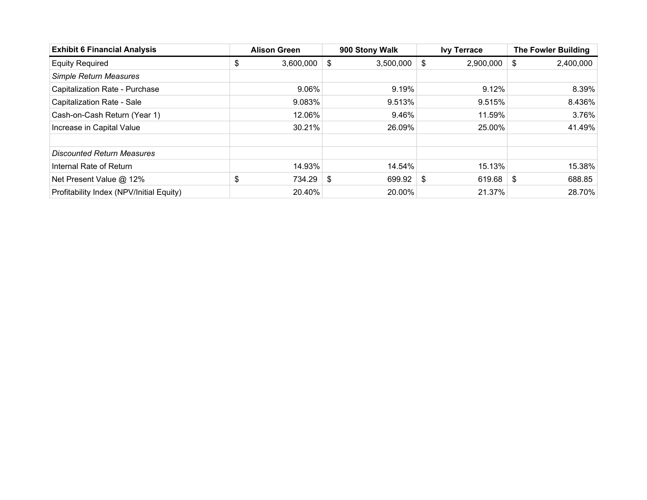| <b>Exhibit 6 Financial Analysis</b>      | <b>Alison Green</b> | 900 Stony Walk  | <b>Ivy Terrace</b> |    | <b>The Fowler Building</b> |
|------------------------------------------|---------------------|-----------------|--------------------|----|----------------------------|
| <b>Equity Required</b>                   | \$<br>3,600,000     | \$<br>3,500,000 | \$<br>2,900,000    | \$ | 2,400,000                  |
| <b>Simple Return Measures</b>            |                     |                 |                    |    |                            |
| Capitalization Rate - Purchase           | 9.06%               | 9.19%           | 9.12%              |    | 8.39%                      |
| Capitalization Rate - Sale               | 9.083%              | 9.513%          | 9.515%             |    | 8.436%                     |
| Cash-on-Cash Return (Year 1)             | 12.06%              | 9.46%           | 11.59%             |    | 3.76%                      |
| Increase in Capital Value                | 30.21%              | 26.09%          | 25.00%             |    | 41.49%                     |
|                                          |                     |                 |                    |    |                            |
| <b>Discounted Return Measures</b>        |                     |                 |                    |    |                            |
| Internal Rate of Return                  | 14.93%              | 14.54%          | 15.13%             |    | 15.38%                     |
| Net Present Value @ 12%                  | \$<br>$734.29$ \$   | 699.92          | \$<br>619.68       | -S | 688.85                     |
| Profitability Index (NPV/Initial Equity) | 20.40%              | 20.00%          | 21.37%             |    | 28.70%                     |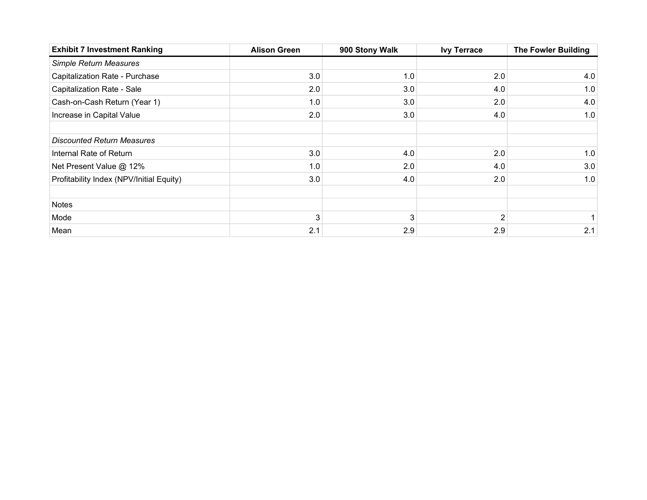| <b>Exhibit 7 Investment Ranking</b>      | <b>Alison Green</b> | 900 Stony Walk | <b>Ivy Terrace</b> | <b>The Fowler Building</b> |
|------------------------------------------|---------------------|----------------|--------------------|----------------------------|
| Simple Return Measures                   |                     |                |                    |                            |
| Capitalization Rate - Purchase           | 3.0                 | 1.0            | 2.0                | 4.0                        |
| Capitalization Rate - Sale               | 2.0                 | 3.0            | 4.0                | 1.0                        |
| Cash-on-Cash Return (Year 1)             | 1.0                 | 3.0            | 2.0                | 4.0                        |
| Increase in Capital Value                | 2.0                 | 3.0            | 4.0                | 1.0                        |
|                                          |                     |                |                    |                            |
| <b>Discounted Return Measures</b>        |                     |                |                    |                            |
| Internal Rate of Return                  | 3.0                 | 4.0            | 2.0                | 1.0                        |
| Net Present Value @ 12%                  | 1.0                 | 2.0            | 4.0                | 3.0                        |
| Profitability Index (NPV/Initial Equity) | 3.0                 | 4.0            | 2.0                | 1.0                        |
|                                          |                     |                |                    |                            |
| <b>Notes</b>                             |                     |                |                    |                            |
| Mode                                     | 3                   | 3              |                    |                            |
| Mean                                     | 2.1                 | 2.9            | 2.9                | 2.1                        |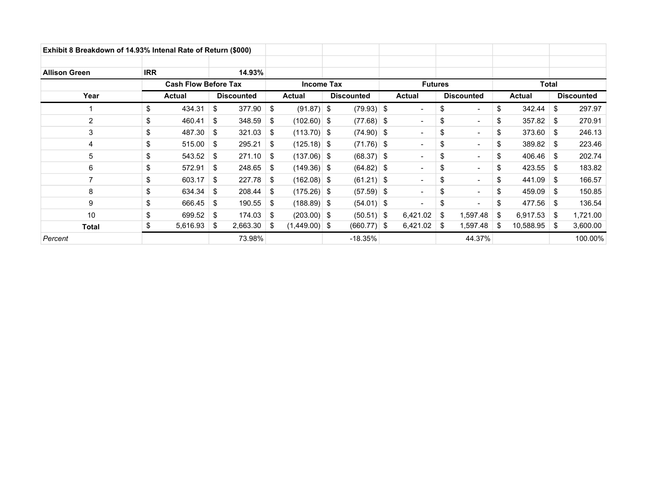| Exhibit 8 Breakdown of 14.93% Intenal Rate of Return (\$000) |                             |               |    |                   |      |                 |                |                   |  |                          |              |                          |      |               |    |                   |
|--------------------------------------------------------------|-----------------------------|---------------|----|-------------------|------|-----------------|----------------|-------------------|--|--------------------------|--------------|--------------------------|------|---------------|----|-------------------|
| <b>Allison Green</b>                                         | <b>IRR</b>                  |               |    | 14.93%            |      |                 |                |                   |  |                          |              |                          |      |               |    |                   |
|                                                              | <b>Cash Flow Before Tax</b> |               |    | <b>Income Tax</b> |      |                 | <b>Futures</b> |                   |  |                          | <b>Total</b> |                          |      |               |    |                   |
| Year                                                         |                             | <b>Actual</b> |    | <b>Discounted</b> |      | <b>Actual</b>   |                | <b>Discounted</b> |  | <b>Actual</b>            |              | <b>Discounted</b>        |      | <b>Actual</b> |    | <b>Discounted</b> |
|                                                              | \$                          | 434.31        | \$ | 377.90            | - \$ | $(91.87)$ \$    |                | $(79.93)$ \$      |  | $\overline{\phantom{a}}$ | \$           | $\overline{\phantom{a}}$ | \$   | 342.44        | \$ | 297.97            |
| 2                                                            | \$                          | 460.41        | \$ | 348.59            | - \$ | $(102.60)$ \$   |                | $(77.68)$ \$      |  | $\blacksquare$           | \$           | $\blacksquare$           | \$   | 357.82        | \$ | 270.91            |
| 3                                                            | \$                          | 487.30        | \$ | 321.03            | - \$ | $(113.70)$ \$   |                | $(74.90)$ \$      |  | $\blacksquare$           | \$           | $\blacksquare$           | \$   | 373.60        | \$ | 246.13            |
| $\overline{4}$                                               | \$                          | 515.00        | \$ | 295.21            | - \$ | $(125.18)$ \$   |                | $(71.76)$ \$      |  | $\overline{\phantom{a}}$ | \$           | $\overline{\phantom{a}}$ | \$   | 389.82        | \$ | 223.46            |
| 5                                                            | \$                          | 543.52        | \$ | $271.10$ \ \$     |      | $(137.06)$ \$   |                | $(68.37)$ \$      |  | $\overline{\phantom{a}}$ | \$           | $\overline{\phantom{a}}$ | \$   | 406.46        | \$ | 202.74            |
| 6                                                            | \$                          | 572.91        | \$ | $248.65$ \$       |      | $(149.36)$ \$   |                | $(64.82)$ \$      |  | $\blacksquare$           | \$           | $\blacksquare$           | \$   | 423.55        | \$ | 183.82            |
| $\overline{7}$                                               | \$                          | 603.17        | \$ | $227.78$ \$       |      | $(162.08)$ \$   |                | $(61.21)$ \$      |  | $\blacksquare$           | \$           | $\blacksquare$           | \$   | 441.09        | S. | 166.57            |
| 8                                                            | \$                          | 634.34        | \$ | $208.44$ \ \$     |      | $(175.26)$ \$   |                | $(57.59)$ \$      |  | $\blacksquare$           | \$           | $\blacksquare$           | \$   | 459.09        | \$ | 150.85            |
| 9                                                            | \$                          | 666.45        | \$ | $190.55$ \$       |      | $(188.89)$ \$   |                | $(54.01)$ \$      |  | $\blacksquare$           | \$           |                          | \$   | 477.56        | S  | 136.54            |
| 10                                                           | \$                          | 699.52        | \$ | $174.03$ \$       |      | $(203.00)$ \$   |                | $(50.51)$ \$      |  | 6,421.02                 | \$           | 1,597.48                 | S    | 6,917.53      | \$ | 1,721.00          |
| <b>Total</b>                                                 | \$                          | 5,616.93      | \$ | $2,663.30$ \ \$   |      | $(1,449.00)$ \$ |                | $(660.77)$ \$     |  | 6,421.02                 | \$           | 1,597.48                 | - \$ | 10,588.95     | \$ | 3,600.00          |
| Percent                                                      |                             |               |    | 73.98%            |      |                 |                | $-18.35%$         |  |                          |              | 44.37%                   |      |               |    | 100.00%           |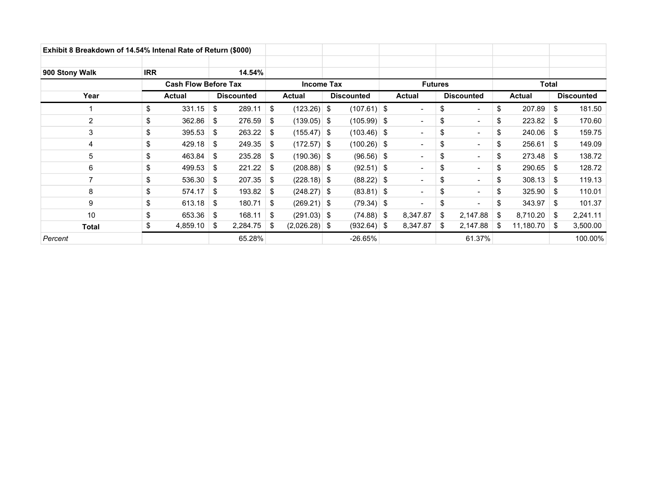| Exhibit 8 Breakdown of 14.54% Intenal Rate of Return (\$000) |                             |               |    |                   |      |                 |                |                   |               |                          |                   |                          |      |               |    |                   |  |
|--------------------------------------------------------------|-----------------------------|---------------|----|-------------------|------|-----------------|----------------|-------------------|---------------|--------------------------|-------------------|--------------------------|------|---------------|----|-------------------|--|
| 900 Stony Walk                                               | <b>IRR</b>                  |               |    | 14.54%            |      |                 |                |                   |               |                          |                   |                          |      |               |    |                   |  |
|                                                              | <b>Cash Flow Before Tax</b> |               |    | <b>Income Tax</b> |      |                 | <b>Futures</b> |                   |               |                          | <b>Total</b>      |                          |      |               |    |                   |  |
| Year                                                         |                             | <b>Actual</b> |    | <b>Discounted</b> |      | <b>Actual</b>   |                | <b>Discounted</b> | <b>Actual</b> |                          | <b>Discounted</b> |                          |      | <b>Actual</b> |    | <b>Discounted</b> |  |
|                                                              | \$                          | 331.15        | \$ | 289.11            | \$   | $(123.26)$ \$   |                | $(107.61)$ \$     |               | $\overline{\phantom{a}}$ | \$                | $\overline{\phantom{a}}$ | \$   | 207.89        | \$ | 181.50            |  |
| 2                                                            | \$                          | 362.86        | \$ | 276.59            | - \$ | $(139.05)$ \$   |                | $(105.99)$ \$     |               | $\blacksquare$           | \$                | $\blacksquare$           | \$   | 223.82        | \$ | 170.60            |  |
| 3                                                            | \$                          | 395.53        | \$ | $263.22$ \$       |      | $(155.47)$ \$   |                | $(103.46)$ \$     |               | $\blacksquare$           | \$                | $\blacksquare$           | \$   | 240.06        | \$ | 159.75            |  |
| 4                                                            | \$                          | 429.18        | \$ | $249.35$ \$       |      | $(172.57)$ \$   |                | $(100.26)$ \$     |               | $\overline{\phantom{a}}$ | \$                | $\overline{\phantom{a}}$ | \$   | 256.61        | \$ | 149.09            |  |
| 5                                                            | \$                          | 463.84        | \$ | $235.28$ \$       |      | $(190.36)$ \$   |                | $(96.56)$ \$      |               | $\overline{\phantom{a}}$ | \$                | $\overline{\phantom{a}}$ | \$   | 273.48        | \$ | 138.72            |  |
| 6                                                            | \$                          | 499.53        | \$ | $221.22$ \$       |      | $(208.88)$ \$   |                | $(92.51)$ \$      |               | $\blacksquare$           | \$                | $\blacksquare$           | \$   | 290.65        | \$ | 128.72            |  |
| $\overline{7}$                                               | \$                          | 536.30        | \$ | $207.35$ \$       |      | $(228.18)$ \$   |                | $(88.22)$ \$      |               | $\blacksquare$           | \$                | $\overline{\phantom{a}}$ | \$   | 308.13        | S. | 119.13            |  |
| 8                                                            | \$                          | 574.17        | \$ | $193.82$ \$       |      | $(248.27)$ \$   |                | $(83.81)$ \$      |               | $\overline{\phantom{a}}$ | \$                | $\blacksquare$           | \$   | 325.90        | \$ | 110.01            |  |
| 9                                                            | \$                          | 613.18        | \$ | $180.71$ \$       |      | $(269.21)$ \$   |                | $(79.34)$ \$      |               | $\blacksquare$           | \$                |                          | \$   | 343.97        | \$ | 101.37            |  |
| 10                                                           | \$                          | 653.36        | \$ | $168.11$ \ \$     |      | $(291.03)$ \$   |                | $(74.88)$ \$      |               | 8,347.87                 | \$                | 2,147.88                 | S    | 8,710.20      | \$ | 2,241.11          |  |
| <b>Total</b>                                                 | \$                          | 4,859.10      | \$ | 2,284.75          | - S  | $(2,026.28)$ \$ |                | $(932.64)$ \$     |               | 8,347.87                 | \$                | 2,147.88                 | - \$ | 11,180.70     | \$ | 3,500.00          |  |
| Percent                                                      |                             |               |    | 65.28%            |      |                 |                | $-26.65%$         |               |                          |                   | 61.37%                   |      |               |    | 100.00%           |  |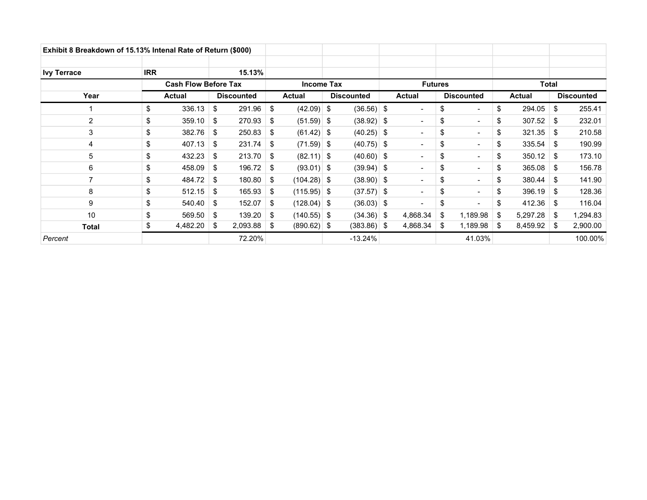| Exhibit 8 Breakdown of 15.13% Intenal Rate of Return (\$000) |                             |          |                   |                   |      |                |  |                   |  |                          |    |                          |      |               |    |                   |
|--------------------------------------------------------------|-----------------------------|----------|-------------------|-------------------|------|----------------|--|-------------------|--|--------------------------|----|--------------------------|------|---------------|----|-------------------|
| <b>Ivy Terrace</b>                                           | <b>IRR</b>                  |          |                   | 15.13%            |      |                |  |                   |  |                          |    |                          |      |               |    |                   |
|                                                              | <b>Cash Flow Before Tax</b> |          | <b>Income Tax</b> |                   |      | <b>Futures</b> |  |                   |  | Total                    |    |                          |      |               |    |                   |
| Year                                                         |                             | Actual   |                   | <b>Discounted</b> |      | <b>Actual</b>  |  | <b>Discounted</b> |  | <b>Actual</b>            |    | <b>Discounted</b>        |      | <b>Actual</b> |    | <b>Discounted</b> |
|                                                              | \$                          | 336.13   | \$                | 291.96            | -\$  | $(42.09)$ \$   |  | $(36.56)$ \$      |  | $\overline{\phantom{a}}$ | \$ | $\overline{\phantom{a}}$ | \$   | 294.05        | \$ | 255.41            |
| 2                                                            | \$                          | 359.10   | \$                | $270.93$ \$       |      | $(51.59)$ \$   |  | $(38.92)$ \$      |  | $\overline{\phantom{a}}$ | \$ | $\blacksquare$           | \$   | 307.52        | \$ | 232.01            |
| 3                                                            | \$                          | 382.76   | \$                | 250.83            | - \$ | $(61.42)$ \$   |  | $(40.25)$ \$      |  | $\overline{\phantom{a}}$ | \$ | $\blacksquare$           | \$   | 321.35        | \$ | 210.58            |
| 4                                                            | \$                          | 407.13   | \$                | 231.74            | - \$ | $(71.59)$ \$   |  | $(40.75)$ \$      |  | $\overline{\phantom{a}}$ | \$ | $\overline{\phantom{a}}$ | \$   | 335.54        | \$ | 190.99            |
| 5                                                            | \$                          | 432.23   | \$                | $213.70$ \$       |      | $(82.11)$ \$   |  | $(40.60)$ \$      |  | $\overline{\phantom{a}}$ | \$ |                          | \$   | 350.12        | \$ | 173.10            |
| 6                                                            | \$                          | 458.09   | \$                | $196.72$ \$       |      | $(93.01)$ \$   |  | $(39.94)$ \$      |  | $\blacksquare$           | \$ | $\blacksquare$           | \$   | 365.08        | \$ | 156.78            |
| 7                                                            | \$                          | 484.72   | \$                | $180.80$ \ \$     |      | $(104.28)$ \$  |  | $(38.90)$ \$      |  | $\blacksquare$           | \$ | $\overline{\phantom{a}}$ | \$   | 380.44        | \$ | 141.90            |
| 8                                                            | \$                          | 512.15   | \$                | $165.93$ \$       |      | $(115.95)$ \$  |  | $(37.57)$ \$      |  | $\overline{\phantom{a}}$ | \$ | $\overline{\phantom{0}}$ | \$   | 396.19        | \$ | 128.36            |
| 9                                                            | \$                          | 540.40   | \$                | 152.07            | - \$ | $(128.04)$ \$  |  | $(36.03)$ \$      |  | $\overline{\phantom{a}}$ | \$ |                          | \$   | 412.36        | \$ | 116.04            |
| 10                                                           | \$                          | 569.50   | \$                | $139.20$ \$       |      | $(140.55)$ \$  |  | $(34.36)$ \$      |  | 4,868.34                 | \$ | 1,189.98                 | S.   | 5,297.28      | \$ | 1,294.83          |
| <b>Total</b>                                                 | \$                          | 4,482.20 | S.                |                   |      | $(890.62)$ \$  |  | $(383.86)$ \$     |  | 4,868.34                 | \$ | 1,189.98                 | - \$ | 8,459.92      | \$ | 2,900.00          |
| Percent                                                      |                             |          |                   | 72.20%            |      |                |  | $-13.24\%$        |  |                          |    | 41.03%                   |      |               |    | 100.00%           |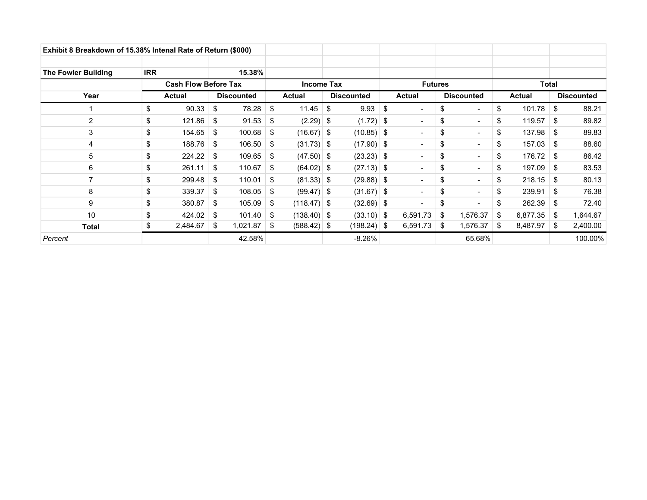| Exhibit 8 Breakdown of 15.38% Intenal Rate of Return (\$000) |            |                             |                       |                   |               |    |                   |     |                          |    |                          |     |               |    |                   |
|--------------------------------------------------------------|------------|-----------------------------|-----------------------|-------------------|---------------|----|-------------------|-----|--------------------------|----|--------------------------|-----|---------------|----|-------------------|
| <b>The Fowler Building</b>                                   | <b>IRR</b> |                             | 15.38%                |                   |               |    |                   |     |                          |    |                          |     |               |    |                   |
|                                                              |            | <b>Cash Flow Before Tax</b> |                       | <b>Income Tax</b> |               |    | <b>Futures</b>    |     |                          |    | <b>Total</b>             |     |               |    |                   |
| Year                                                         |            | Actual                      | <b>Discounted</b>     |                   | <b>Actual</b> |    | <b>Discounted</b> |     | <b>Actual</b>            |    | <b>Discounted</b>        |     | <b>Actual</b> |    | <b>Discounted</b> |
|                                                              | \$         | 90.33                       | \$<br>78.28           | \$                | 11.45         | \$ | 9.93              | -\$ | $\overline{\phantom{a}}$ | \$ | $\blacksquare$           | \$  | 101.78        | \$ | 88.21             |
| 2                                                            | \$         | 121.86                      | \$<br>91.53           | -\$               | $(2.29)$ \$   |    | $(1.72)$ \$       |     | $\overline{\phantom{a}}$ | \$ | $\blacksquare$           | \$  | 119.57        | \$ | 89.82             |
| 3                                                            | \$         | 154.65                      | \$<br>$100.68$ \$     |                   | $(16.67)$ \$  |    | $(10.85)$ \$      |     | $\overline{\phantom{a}}$ | \$ | $\blacksquare$           | \$  | 137.98        | \$ | 89.83             |
| 4                                                            | \$         | 188.76                      | \$<br>$106.50$ \$     |                   | $(31.73)$ \$  |    | $(17.90)$ \$      |     | $\overline{\phantom{a}}$ | \$ | $\blacksquare$           | \$  | 157.03        | \$ | 88.60             |
| 5                                                            | \$         | 224.22                      | \$<br>$109.65$ \$     |                   | $(47.50)$ \$  |    | $(23.23)$ \$      |     | $\overline{\phantom{a}}$ | \$ | $\blacksquare$           | \$  | 176.72        | \$ | 86.42             |
| 6                                                            | \$         | 261.11                      | \$<br>110.67          | \$                | $(64.02)$ \$  |    | $(27.13)$ \$      |     | $\blacksquare$           | \$ | $\blacksquare$           | \$  | 197.09        | \$ | 83.53             |
| 7                                                            | \$         | 299.48                      | \$<br>110.01          | - \$              | $(81.33)$ \$  |    | $(29.88)$ \$      |     | $\blacksquare$           | \$ | $\overline{\phantom{a}}$ | \$  | 218.15        | \$ | 80.13             |
| 8                                                            | \$         | 339.37                      | \$<br>108.05          | -\$               | $(99.47)$ \$  |    | $(31.67)$ \$      |     | $\overline{\phantom{a}}$ | \$ | $\overline{\phantom{0}}$ | \$  | 239.91        | \$ | 76.38             |
| 9                                                            | \$         | 380.87                      | \$<br>$105.09$ \$     |                   | $(118.47)$ \$ |    | $(32.69)$ \$      |     | $\overline{\phantom{a}}$ | \$ |                          | \$  | 262.39        | \$ | 72.40             |
| 10                                                           | \$         | 424.02                      | \$<br>$101.40$ \ \$   |                   | $(138.40)$ \$ |    | $(33.10)$ \$      |     | 6,591.73                 | \$ | 1,576.37                 | \$  | 6,877.35      | \$ | 1,644.67          |
| <b>Total</b>                                                 | \$         | 2,484.67                    | \$<br>$1,021.87$ \ \$ |                   | $(588.42)$ \$ |    | $(198.24)$ \$     |     | 6,591.73                 | \$ | 1,576.37                 | -SS | 8,487.97      | \$ | 2,400.00          |
| Percent                                                      |            |                             | 42.58%                |                   |               |    | -8.26%            |     |                          |    | 65.68%                   |     |               |    | 100.00%           |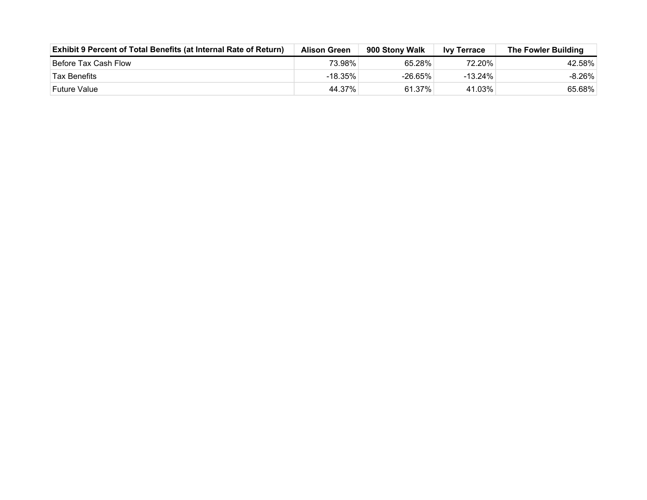| <b>Exhibit 9 Percent of Total Benefits (at Internal Rate of Return)</b> | <b>Alison Green</b> | 900 Stony Walk | <b>Ivy Terrace</b> | The Fowler Building |
|-------------------------------------------------------------------------|---------------------|----------------|--------------------|---------------------|
| Before Tax Cash Flow                                                    | 73.98%              | 65.28%         | 72.20%⊤            | 42.58%              |
| <b>Tax Benefits</b>                                                     | -18.35%             | $-26.65\%$     | $-13.24\%$         | $-8.26\%$           |
| Future Value                                                            | 44.37%              | 61.37%         | 41.03%             | 65.68%              |